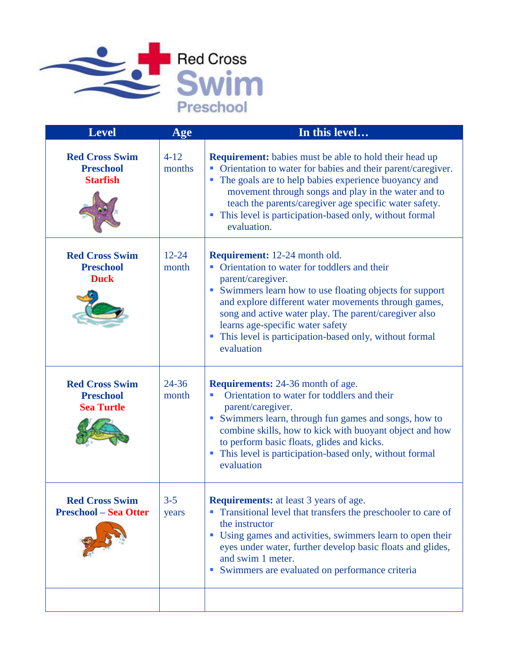

| <b>Level</b>                                                   | Age                | In this level                                                                                                                                                                                                                                                                                                                                                                                                                  |
|----------------------------------------------------------------|--------------------|--------------------------------------------------------------------------------------------------------------------------------------------------------------------------------------------------------------------------------------------------------------------------------------------------------------------------------------------------------------------------------------------------------------------------------|
| <b>Red Cross Swim</b><br><b>Preschool</b><br><b>Starfish</b>   | $4 - 12$<br>months | <b>Requirement:</b> babies must be able to hold their head up<br>Orientation to water for babies and their parent/caregiver.<br>The goals are to help babies experience buoyancy and<br>movement through songs and play in the water and to<br>teach the parents/caregiver age specific water safety.<br>This level is participation-based only, without formal<br>a,<br>evaluation.                                           |
| <b>Red Cross Swim</b><br><b>Preschool</b><br><b>Duck</b>       | $12 - 24$<br>month | <b>Requirement:</b> 12-24 month old.<br>Orientation to water for toddlers and their<br>parent/caregiver.<br>Swimmers learn how to use floating objects for support<br>$\mathcal{L}_{\mathcal{A}}$<br>and explore different water movements through games,<br>song and active water play. The parent/caregiver also<br>learns age-specific water safety<br>This level is participation-based only, without formal<br>evaluation |
| <b>Red Cross Swim</b><br><b>Preschool</b><br><b>Sea Turtle</b> | $24 - 36$<br>month | <b>Requirements:</b> 24-36 month of age.<br>Orientation to water for toddlers and their<br>٠<br>parent/caregiver.<br>Swimmers learn, through fun games and songs, how to<br>combine skills, how to kick with buoyant object and how<br>to perform basic floats, glides and kicks.<br>This level is participation-based only, without formal<br>evaluation                                                                      |
| <b>Red Cross Swim</b><br><b>Preschool - Sea Otter</b>          | $3 - 5$<br>years   | <b>Requirements:</b> at least 3 years of age<br>Transitional level that transfers the preschooler to care of<br>the instructor<br>Using games and activities, swimmers learn to open their<br>ш<br>eyes under water, further develop basic floats and glides,<br>and swim 1 meter.<br>Swimmers are evaluated on performance criteria                                                                                           |
|                                                                |                    |                                                                                                                                                                                                                                                                                                                                                                                                                                |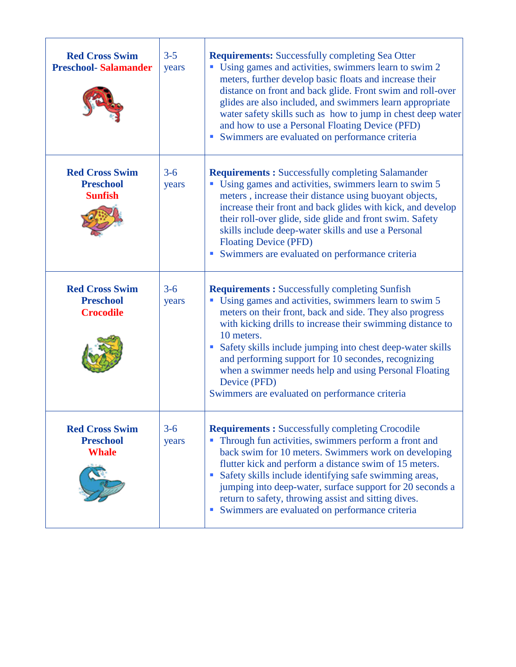| <b>Red Cross Swim</b><br><b>Preschool-Salamander</b>          | $3 - 5$<br>years | <b>Requirements:</b> Successfully completing Sea Otter<br>Using games and activities, swimmers learn to swim 2<br>meters, further develop basic floats and increase their<br>distance on front and back glide. Front swim and roll-over<br>glides are also included, and swimmers learn appropriate<br>water safety skills such as how to jump in chest deep water<br>and how to use a Personal Floating Device (PFD)<br>Swimmers are evaluated on performance criteria                              |
|---------------------------------------------------------------|------------------|------------------------------------------------------------------------------------------------------------------------------------------------------------------------------------------------------------------------------------------------------------------------------------------------------------------------------------------------------------------------------------------------------------------------------------------------------------------------------------------------------|
| <b>Red Cross Swim</b><br><b>Preschool</b><br><b>Sunfish</b>   | $3 - 6$<br>years | <b>Requirements:</b> Successfully completing Salamander<br>Using games and activities, swimmers learn to swim 5<br>meters, increase their distance using buoyant objects,<br>increase their front and back glides with kick, and develop<br>their roll-over glide, side glide and front swim. Safety<br>skills include deep-water skills and use a Personal<br><b>Floating Device (PFD)</b><br>Swimmers are evaluated on performance criteria                                                        |
| <b>Red Cross Swim</b><br><b>Preschool</b><br><b>Crocodile</b> | $3 - 6$<br>years | <b>Requirements:</b> Successfully completing Sunfish<br>Using games and activities, swimmers learn to swim 5<br>meters on their front, back and side. They also progress<br>with kicking drills to increase their swimming distance to<br>10 meters.<br>Safety skills include jumping into chest deep-water skills<br>and performing support for 10 secondes, recognizing<br>when a swimmer needs help and using Personal Floating<br>Device (PFD)<br>Swimmers are evaluated on performance criteria |
| <b>Red Cross Swim</b><br><b>Preschool</b><br><b>Whale</b>     | $3 - 6$<br>years | <b>Requirements:</b> Successfully completing Crocodile<br>Through fun activities, swimmers perform a front and<br>back swim for 10 meters. Swimmers work on developing<br>flutter kick and perform a distance swim of 15 meters.<br>Safety skills include identifying safe swimming areas,<br>jumping into deep-water, surface support for 20 seconds a<br>return to safety, throwing assist and sitting dives.<br>Swimmers are evaluated on performance criteria                                    |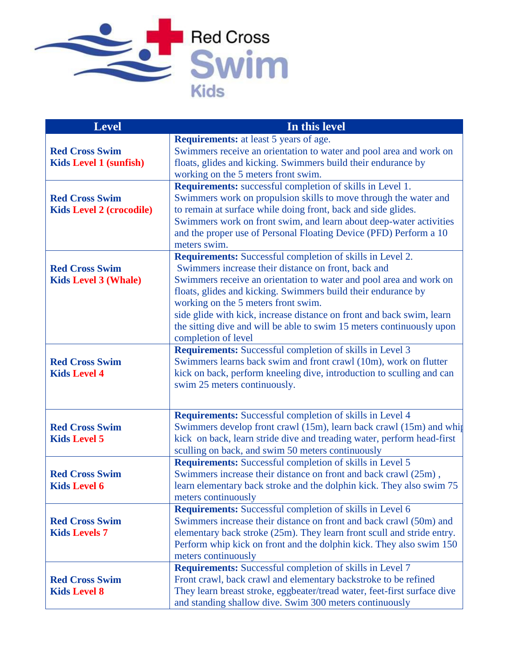

| <b>Level</b>                                             | In this level                                                                                                                                                                                                                                                                                                                                                                                                                                                                  |
|----------------------------------------------------------|--------------------------------------------------------------------------------------------------------------------------------------------------------------------------------------------------------------------------------------------------------------------------------------------------------------------------------------------------------------------------------------------------------------------------------------------------------------------------------|
| <b>Red Cross Swim</b><br><b>Kids Level 1 (sunfish)</b>   | <b>Requirements:</b> at least 5 years of age.<br>Swimmers receive an orientation to water and pool area and work on<br>floats, glides and kicking. Swimmers build their endurance by<br>working on the 5 meters front swim.                                                                                                                                                                                                                                                    |
| <b>Red Cross Swim</b><br><b>Kids Level 2 (crocodile)</b> | Requirements: successful completion of skills in Level 1.<br>Swimmers work on propulsion skills to move through the water and<br>to remain at surface while doing front, back and side glides.<br>Swimmers work on front swim, and learn about deep-water activities<br>and the proper use of Personal Floating Device (PFD) Perform a 10<br>meters swim.                                                                                                                      |
| <b>Red Cross Swim</b><br><b>Kids Level 3 (Whale)</b>     | <b>Requirements:</b> Successful completion of skills in Level 2.<br>Swimmers increase their distance on front, back and<br>Swimmers receive an orientation to water and pool area and work on<br>floats, glides and kicking. Swimmers build their endurance by<br>working on the 5 meters front swim.<br>side glide with kick, increase distance on front and back swim, learn<br>the sitting dive and will be able to swim 15 meters continuously upon<br>completion of level |
| <b>Red Cross Swim</b><br><b>Kids Level 4</b>             | Requirements: Successful completion of skills in Level 3<br>Swimmers learns back swim and front crawl (10m), work on flutter<br>kick on back, perform kneeling dive, introduction to sculling and can<br>swim 25 meters continuously.                                                                                                                                                                                                                                          |
| <b>Red Cross Swim</b><br><b>Kids Level 5</b>             | <b>Requirements:</b> Successful completion of skills in Level 4<br>Swimmers develop front crawl (15m), learn back crawl (15m) and whip<br>kick on back, learn stride dive and treading water, perform head-first<br>sculling on back, and swim 50 meters continuously                                                                                                                                                                                                          |
| <b>Red Cross Swim</b><br><b>Kids Level 6</b>             | Requirements: Successful completion of skills in Level 5<br>Swimmers increase their distance on front and back crawl (25m),<br>learn elementary back stroke and the dolphin kick. They also swim 75<br>meters continuously                                                                                                                                                                                                                                                     |
| <b>Red Cross Swim</b><br><b>Kids Levels 7</b>            | Requirements: Successful completion of skills in Level 6<br>Swimmers increase their distance on front and back crawl (50m) and<br>elementary back stroke (25m). They learn front scull and stride entry.<br>Perform whip kick on front and the dolphin kick. They also swim 150<br>meters continuously                                                                                                                                                                         |
| <b>Red Cross Swim</b><br><b>Kids Level 8</b>             | Requirements: Successful completion of skills in Level 7<br>Front crawl, back crawl and elementary backstroke to be refined<br>They learn breast stroke, eggbeater/tread water, feet-first surface dive<br>and standing shallow dive. Swim 300 meters continuously                                                                                                                                                                                                             |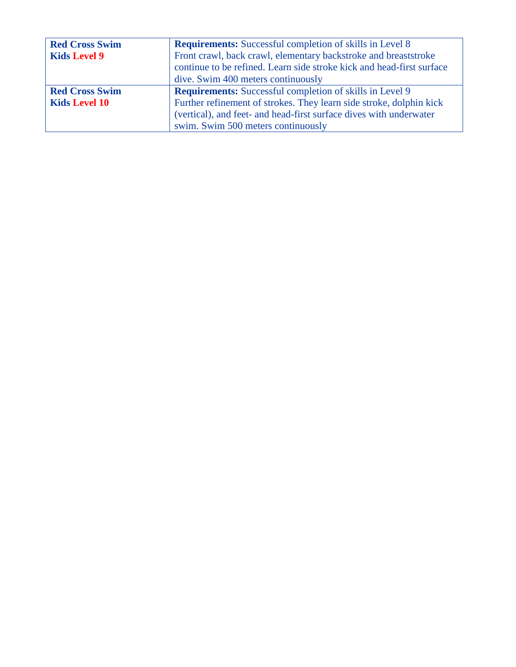| <b>Red Cross Swim</b> | <b>Requirements:</b> Successful completion of skills in Level 8       |  |
|-----------------------|-----------------------------------------------------------------------|--|
| <b>Kids Level 9</b>   | Front crawl, back crawl, elementary backstroke and breaststroke       |  |
|                       | continue to be refined. Learn side stroke kick and head-first surface |  |
|                       | dive. Swim 400 meters continuously                                    |  |
| <b>Red Cross Swim</b> | <b>Requirements:</b> Successful completion of skills in Level 9       |  |
| <b>Kids Level 10</b>  | Further refinement of strokes. They learn side stroke, dolphin kick   |  |
|                       | (vertical), and feet- and head-first surface dives with underwater    |  |
|                       | swim. Swim 500 meters continuously                                    |  |